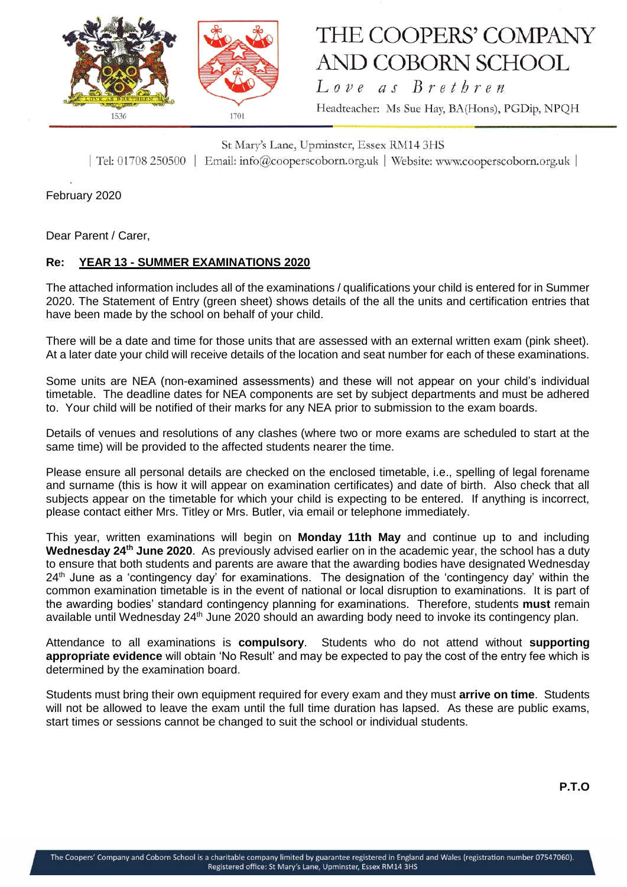

## THE COOPERS' COMPANY **AND COBORN SCHOOL**

Love as Brethren Headteacher: Ms Sue Hay, BA(Hons), PGDip, NPQH

St Mary's Lane, Upminster, Essex RM14 3HS | Tel: 01708 250500 | Email: info@cooperscoborn.org.uk | Website: www.cooperscoborn.org.uk |

February 2020

Dear Parent / Carer,

## **Re: YEAR 13 - SUMMER EXAMINATIONS 2020**

The attached information includes all of the examinations / qualifications your child is entered for in Summer 2020. The Statement of Entry (green sheet) shows details of the all the units and certification entries that have been made by the school on behalf of your child.

There will be a date and time for those units that are assessed with an external written exam (pink sheet). At a later date your child will receive details of the location and seat number for each of these examinations.

Some units are NEA (non-examined assessments) and these will not appear on your child's individual timetable. The deadline dates for NEA components are set by subject departments and must be adhered to. Your child will be notified of their marks for any NEA prior to submission to the exam boards.

Details of venues and resolutions of any clashes (where two or more exams are scheduled to start at the same time) will be provided to the affected students nearer the time.

Please ensure all personal details are checked on the enclosed timetable, i.e., spelling of legal forename and surname (this is how it will appear on examination certificates) and date of birth. Also check that all subjects appear on the timetable for which your child is expecting to be entered. If anything is incorrect, please contact either Mrs. Titley or Mrs. Butler, via email or telephone immediately.

This year, written examinations will begin on **Monday 11th May** and continue up to and including Wednesday 24<sup>th</sup> June 2020. As previously advised earlier on in the academic year, the school has a duty to ensure that both students and parents are aware that the awarding bodies have designated Wednesday  $24<sup>th</sup>$  June as a 'contingency day' for examinations. The designation of the 'contingency day' within the common examination timetable is in the event of national or local disruption to examinations. It is part of the awarding bodies' standard contingency planning for examinations. Therefore, students **must** remain available until Wednesday 24<sup>th</sup> June 2020 should an awarding body need to invoke its contingency plan.

Attendance to all examinations is **compulsory**. Students who do not attend without **supporting appropriate evidence** will obtain 'No Result' and may be expected to pay the cost of the entry fee which is determined by the examination board.

Students must bring their own equipment required for every exam and they must **arrive on time**. Students will not be allowed to leave the exam until the full time duration has lapsed. As these are public exams, start times or sessions cannot be changed to suit the school or individual students.